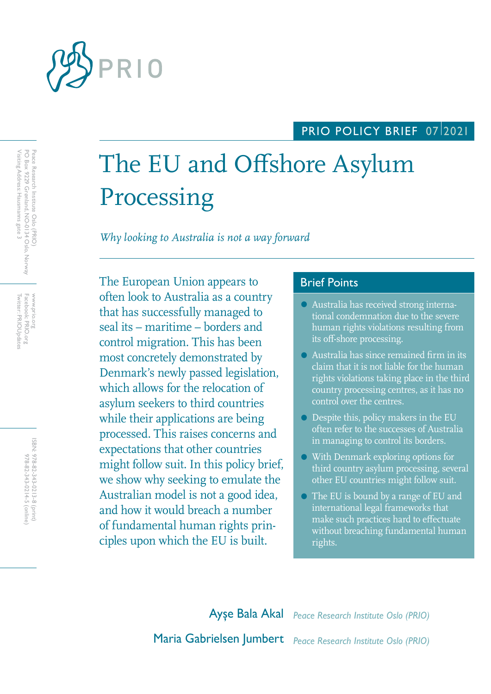

# PRIO POLICY BRIEF 07/2021

# The EU and Offshore Asylum Processing

*Why looking to Australia is not a way forward*

The European Union appears to **Brief Points** often look to Australia as a country that has successfully managed to seal its – maritime – borders and control migration. This has been most concretely demonstrated by Denmark's newly passed legislation, which allows for the relocation of asylum seekers to third countries while their applications are being processed. This raises concerns and expectations that other countries might follow suit. In this policy brief, we show why seeking to emulate the Australian model is not a good idea, and how it would breach a number of fundamental human rights principles upon which the EU is built.

- Australia has received strong international condemnation due to the severe human rights violations resulting from its off-shore processing.
- Australia has since remained firm in its claim that it is not liable for the human rights violations taking place in the third country processing centres, as it has no control over the centres.
- Despite this, policy makers in the EU often refer to the successes of Australia in managing to control its borders.
- With Denmark exploring options for third country asylum processing, several other EU countries might follow suit.
- The EU is bound by a range of EU and international legal frameworks that make such practices hard to effectuate without breaching fundamental human rights.

Ayşe Bala Akal *Peace Research Institute Oslo (PRIO)* Maria Gabrielsen Jumbert *Peace Research Institute Oslo (PRIO)*

Peace Research Institute Oslo (PRIO)<br>PO Box 9229 Grønland, NO-0134 Oslo, Norway<br>Visiting Address: Hausmanns gate 3 Visiting Address: Hausmanns gate 3 PO Box 9229 Grønland, NO-0134 Oslo, Norway Peace Research Institute Oslo (PRIO)

Twitter: PRIOUpdates Facebook: PRIO.org Twitter: PRIOUpdates Facebook: PRIO.org WWW.prio.org www.prio.org

> ISBN: 978-82-343-0213-8 (print) 978-82-343-0214-5 (online) 978-82-343-0214-5 (online) 978-82-343-0213-8 (print)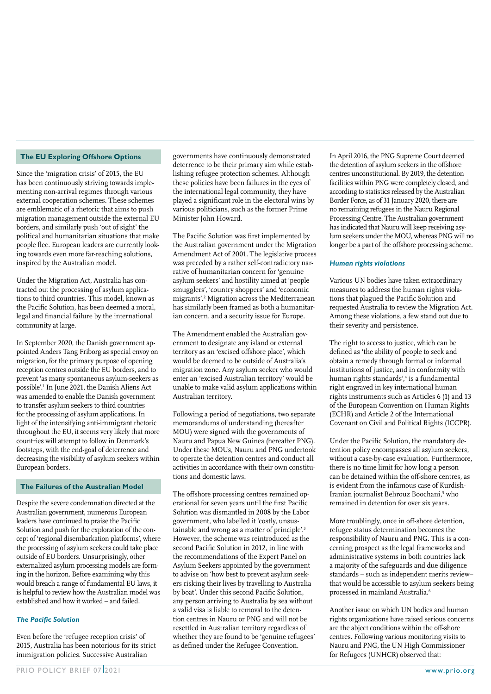#### **The EU Exploring Offshore Options**

Since the 'migration crisis' of 2015, the EU has been continuously striving towards implementing non-arrival regimes through various external cooperation schemes. These schemes are emblematic of a rhetoric that aims to push migration management outside the external EU borders, and similarly push 'out of sight' the political and humanitarian situations that make people flee. European leaders are currently looking towards even more far-reaching solutions, inspired by the Australian model.

Under the Migration Act, Australia has contracted out the processing of asylum applications to third countries. This model, known as the Pacific Solution, has been deemed a moral, legal and financial failure by the international community at large.

In September 2020, the Danish government appointed Anders Tang Friborg as special envoy on migration, for the primary purpose of opening reception centres outside the EU borders, and to prevent 'as many spontaneous asylum-seekers as possible'.1 In June 2021, the Danish Aliens Act was amended to enable the Danish government to transfer asylum seekers to third countries for the processing of asylum applications. In light of the intensifying anti-immigrant rhetoric throughout the EU, it seems very likely that more countries will attempt to follow in Denmark's footsteps, with the end-goal of deterrence and decreasing the visibility of asylum seekers within European borders.

### **The Failures of the Australian Model**

Despite the severe condemnation directed at the Australian government, numerous European leaders have continued to praise the Pacific Solution and push for the exploration of the concept of 'regional disembarkation platforms', where the processing of asylum seekers could take place outside of EU borders. Unsurprisingly, other externalized asylum processing models are forming in the horizon. Before examining why this would breach a range of fundamental EU laws, it is helpful to review how the Australian model was established and how it worked – and failed.

#### *The Pacific Solution*

Even before the 'refugee reception crisis' of 2015, Australia has been notorious for its strict immigration policies. Successive Australian

governments have continuously demonstrated deterrence to be their primary aim while establishing refugee protection schemes. Although these policies have been failures in the eyes of the international legal community, they have played a significant role in the electoral wins by various politicians, such as the former Prime Minister John Howard.

The Pacific Solution was first implemented by the Australian government under the Migration Amendment Act of 2001. The legislative process was preceded by a rather self-contradictory narrative of humanitarian concern for 'genuine asylum seekers' and hostility aimed at 'people smugglers', 'country shoppers' and 'economic migrants'.2 Migration across the Mediterranean has similarly been framed as both a humanitarian concern, and a security issue for Europe.

The Amendment enabled the Australian government to designate any island or external territory as an 'excised offshore place', which would be deemed to be outside of Australia's migration zone. Any asylum seeker who would enter an 'excised Australian territory' would be unable to make valid asylum applications within Australian territory.

Following a period of negotiations, two separate memorandums of understanding (hereafter MOU) were signed with the governments of Nauru and Papua New Guinea (hereafter PNG). Under these MOUs, Nauru and PNG undertook to operate the detention centres and conduct all activities in accordance with their own constitutions and domestic laws.

The offshore processing centres remained operational for seven years until the first Pacific Solution was dismantled in 2008 by the Labor government, who labelled it 'costly, unsustainable and wrong as a matter of principle'.<sup>3</sup> However, the scheme was reintroduced as the second Pacific Solution in 2012, in line with the recommendations of the Expert Panel on Asylum Seekers appointed by the government to advise on 'how best to prevent asylum seekers risking their lives by travelling to Australia by boat'. Under this second Pacific Solution, any person arriving to Australia by sea without a valid visa is liable to removal to the detention centres in Nauru or PNG and will not be resettled in Australian territory regardless of whether they are found to be 'genuine refugees' as defined under the Refugee Convention.

In April 2016, the PNG Supreme Court deemed the detention of asylum seekers in the offshore centres unconstitutional. By 2019, the detention facilities within PNG were completely closed, and according to statistics released by the Australian Border Force, as of 31 January 2020, there are no remaining refugees in the Nauru Regional Processing Centre. The Australian government has indicated that Nauru will keep receiving asylum seekers under the MOU, whereas PNG will no longer be a part of the offshore processing scheme.

#### *Human rights violations*

Various UN bodies have taken extraordinary measures to address the human rights violations that plagued the Pacific Solution and requested Australia to review the Migration Act. Among these violations, a few stand out due to their severity and persistence.

The right to access to justice, which can be defined as 'the ability of people to seek and obtain a remedy through formal or informal institutions of justice, and in conformity with human rights standards',<sup>4</sup> is a fundamental right engraved in key international human rights instruments such as Articles 6 (1) and 13 of the European Convention on Human Rights (ECHR) and Article 2 of the International Covenant on Civil and Political Rights (ICCPR).

Under the Pacific Solution, the mandatory detention policy encompasses all asylum seekers, without a case-by-case evaluation. Furthermore, there is no time limit for how long a person can be detained within the off-shore centres, as is evident from the infamous case of Kurdish-Iranian journalist Behrouz Boochani,<sup>5</sup> who remained in detention for over six years.

More troublingly, once in off-shore detention, refugee status determination becomes the responsibility of Nauru and PNG. This is a concerning prospect as the legal frameworks and administrative systems in both countries lack a majority of the safeguards and due diligence standards – such as independent merits review– that would be accessible to asylum seekers being processed in mainland Australia.6

Another issue on which UN bodies and human rights organizations have raised serious concerns are the abject conditions within the off-shore centres. Following various monitoring visits to Nauru and PNG, the UN High Commissioner for Refugees (UNHCR) observed that: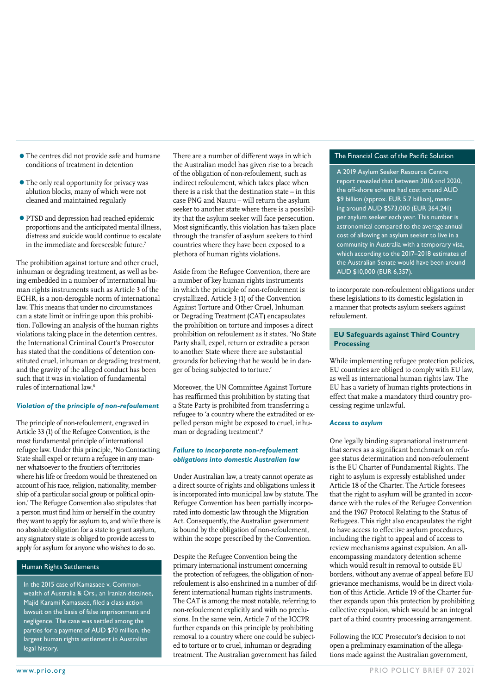- •The centres did not provide safe and humane conditions of treatment in detention
- The only real opportunity for privacy was ablution blocks, many of which were not cleaned and maintained regularly
- •PTSD and depression had reached epidemic proportions and the anticipated mental illness, distress and suicide would continue to escalate in the immediate and foreseeable future.7

The prohibition against torture and other cruel, inhuman or degrading treatment, as well as being embedded in a number of international human rights instruments such as Article 3 of the ECHR, is a non-derogable norm of international law. This means that under no circumstances can a state limit or infringe upon this prohibition. Following an analysis of the human rights violations taking place in the detention centres, the International Criminal Court's Prosecutor has stated that the conditions of detention constituted cruel, inhuman or degrading treatment, and the gravity of the alleged conduct has been such that it was in violation of fundamental rules of international law.8

#### *Violation of the principle of non-refoulement*

The principle of non-refoulement, engraved in Article 33 (1) of the Refugee Convention, is the most fundamental principle of international refugee law. Under this principle, 'No Contracting State shall expel or return a refugee in any manner whatsoever to the frontiers of territories where his life or freedom would be threatened on account of his race, religion, nationality, membership of a particular social group or political opinion.' The Refugee Convention also stipulates that a person must find him or herself in the country they want to apply for asylum to, and while there is no absolute obligation for a state to grant asylum, any signatory state is obliged to provide access to apply for asylum for anyone who wishes to do so.

#### Human Rights Settlements

In the 2015 case of Kamasaee v. Commonwealth of Australia & Ors., an Iranian detainee, Majid Karami Kamasaee, filed a class action lawsuit on the basis of false imprisonment and negligence. The case was settled among the parties for a payment of AUD \$70 million, the largest human rights settlement in Australian legal history.

There are a number of different ways in which The Financial Cost of the Pacific Solution the Australian model has given rise to a breach of the obligation of non-refoulement, such as indirect refoulement, which takes place when there is a risk that the destination state – in this case PNG and Nauru – will return the asylum seeker to another state where there is a possibility that the asylum seeker will face persecution. Most significantly, this violation has taken place through the transfer of asylum seekers to third countries where they have been exposed to a plethora of human rights violations.

Aside from the Refugee Convention, there are a number of key human rights instruments in which the principle of non-refoulement is crystallized. Article 3 (1) of the Convention Against Torture and Other Cruel, Inhuman or Degrading Treatment (CAT) encapsulates the prohibition on torture and imposes a direct prohibition on refoulement as it states, 'No State Party shall, expel, return or extradite a person to another State where there are substantial grounds for believing that he would be in danger of being subjected to torture.'

Moreover, the UN Committee Against Torture has reaffirmed this prohibition by stating that a State Party is prohibited from transferring a refugee to 'a country where the extradited or expelled person might be exposed to cruel, inhuman or degrading treatment'.<sup>9</sup>

#### *Failure to incorporate non-refoulement obligations into domestic Australian law*

Under Australian law, a treaty cannot operate as a direct source of rights and obligations unless it is incorporated into municipal law by statute. The Refugee Convention has been partially incorporated into domestic law through the Migration Act. Consequently, the Australian government is bound by the obligation of non-refoulement, within the scope prescribed by the Convention.

Despite the Refugee Convention being the primary international instrument concerning the protection of refugees, the obligation of nonrefoulement is also enshrined in a number of different international human rights instruments. The CAT is among the most notable, referring to non-refoulement explicitly and with no preclusions. In the same vein, Article 7 of the ICCPR further expands on this principle by prohibiting removal to a country where one could be subjected to torture or to cruel, inhuman or degrading treatment. The Australian government has failed

A 2019 Asylum Seeker Resource Centre report revealed that between 2016 and 2020, the off-shore scheme had cost around AUD \$9 billion (approx. EUR 5.7 billion), meaning around AUD \$573,000 (EUR 364,241) per asylum seeker each year. This number is astronomical compared to the average annual cost of allowing an asylum seeker to live in a community in Australia with a temporary visa, which according to the 2017–2018 estimates of the Australian Senate would have been around AUD \$10,000 (EUR 6,357).

to incorporate non-refoulement obligations under these legislations to its domestic legislation in a manner that protects asylum seekers against refoulement.

### **EU Safeguards against Third Country Processing**

While implementing refugee protection policies, EU countries are obliged to comply with EU law, as well as international human rights law. The EU has a variety of human rights protections in effect that make a mandatory third country processing regime unlawful.

#### *Access to asylum*

One legally binding supranational instrument that serves as a significant benchmark on refugee status determination and non-refoulement is the EU Charter of Fundamental Rights. The right to asylum is expressly established under Article 18 of the Charter. The Article foresees that the right to asylum will be granted in accordance with the rules of the Refugee Convention and the 1967 Protocol Relating to the Status of Refugees. This right also encapsulates the right to have access to effective asylum procedures, including the right to appeal and of access to review mechanisms against expulsion. An allencompassing mandatory detention scheme which would result in removal to outside EU borders, without any avenue of appeal before EU grievance mechanisms, would be in direct violation of this Article. Article 19 of the Charter further expands upon this protection by prohibiting collective expulsion, which would be an integral part of a third country processing arrangement.

Following the ICC Prosecutor's decision to not open a preliminary examination of the allegations made against the Australian government,